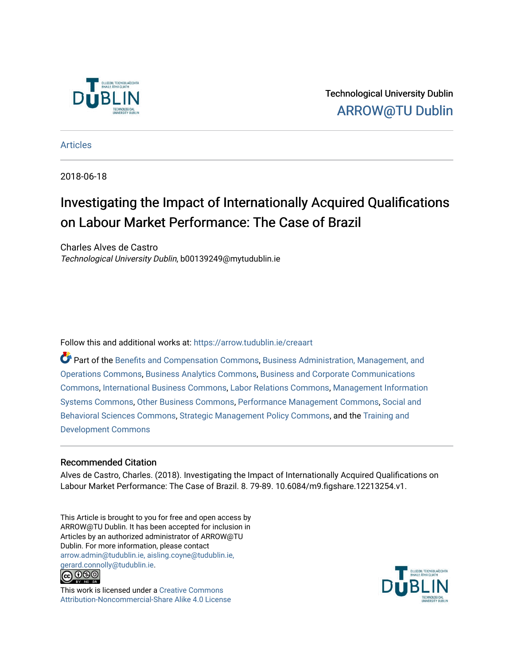

Technological University Dublin [ARROW@TU Dublin](https://arrow.tudublin.ie/) 

[Articles](https://arrow.tudublin.ie/creaart)

2018-06-18

# Investigating the Impact of Internationally Acquired Qualifications on Labour Market Performance: The Case of Brazil

Charles Alves de Castro Technological University Dublin, b00139249@mytudublin.ie

Follow this and additional works at: [https://arrow.tudublin.ie/creaart](https://arrow.tudublin.ie/creaart?utm_source=arrow.tudublin.ie%2Fcreaart%2F47&utm_medium=PDF&utm_campaign=PDFCoverPages) 

Part of the [Benefits and Compensation Commons,](http://network.bepress.com/hgg/discipline/1255?utm_source=arrow.tudublin.ie%2Fcreaart%2F47&utm_medium=PDF&utm_campaign=PDFCoverPages) [Business Administration, Management, and](http://network.bepress.com/hgg/discipline/623?utm_source=arrow.tudublin.ie%2Fcreaart%2F47&utm_medium=PDF&utm_campaign=PDFCoverPages)  [Operations Commons](http://network.bepress.com/hgg/discipline/623?utm_source=arrow.tudublin.ie%2Fcreaart%2F47&utm_medium=PDF&utm_campaign=PDFCoverPages), [Business Analytics Commons,](http://network.bepress.com/hgg/discipline/1398?utm_source=arrow.tudublin.ie%2Fcreaart%2F47&utm_medium=PDF&utm_campaign=PDFCoverPages) [Business and Corporate Communications](http://network.bepress.com/hgg/discipline/627?utm_source=arrow.tudublin.ie%2Fcreaart%2F47&utm_medium=PDF&utm_campaign=PDFCoverPages)  [Commons](http://network.bepress.com/hgg/discipline/627?utm_source=arrow.tudublin.ie%2Fcreaart%2F47&utm_medium=PDF&utm_campaign=PDFCoverPages), [International Business Commons,](http://network.bepress.com/hgg/discipline/634?utm_source=arrow.tudublin.ie%2Fcreaart%2F47&utm_medium=PDF&utm_campaign=PDFCoverPages) [Labor Relations Commons](http://network.bepress.com/hgg/discipline/635?utm_source=arrow.tudublin.ie%2Fcreaart%2F47&utm_medium=PDF&utm_campaign=PDFCoverPages), [Management Information](http://network.bepress.com/hgg/discipline/636?utm_source=arrow.tudublin.ie%2Fcreaart%2F47&utm_medium=PDF&utm_campaign=PDFCoverPages)  [Systems Commons,](http://network.bepress.com/hgg/discipline/636?utm_source=arrow.tudublin.ie%2Fcreaart%2F47&utm_medium=PDF&utm_campaign=PDFCoverPages) [Other Business Commons](http://network.bepress.com/hgg/discipline/647?utm_source=arrow.tudublin.ie%2Fcreaart%2F47&utm_medium=PDF&utm_campaign=PDFCoverPages), [Performance Management Commons](http://network.bepress.com/hgg/discipline/1256?utm_source=arrow.tudublin.ie%2Fcreaart%2F47&utm_medium=PDF&utm_campaign=PDFCoverPages), [Social and](http://network.bepress.com/hgg/discipline/316?utm_source=arrow.tudublin.ie%2Fcreaart%2F47&utm_medium=PDF&utm_campaign=PDFCoverPages)  [Behavioral Sciences Commons,](http://network.bepress.com/hgg/discipline/316?utm_source=arrow.tudublin.ie%2Fcreaart%2F47&utm_medium=PDF&utm_campaign=PDFCoverPages) [Strategic Management Policy Commons,](http://network.bepress.com/hgg/discipline/642?utm_source=arrow.tudublin.ie%2Fcreaart%2F47&utm_medium=PDF&utm_campaign=PDFCoverPages) and the [Training and](http://network.bepress.com/hgg/discipline/1257?utm_source=arrow.tudublin.ie%2Fcreaart%2F47&utm_medium=PDF&utm_campaign=PDFCoverPages)  [Development Commons](http://network.bepress.com/hgg/discipline/1257?utm_source=arrow.tudublin.ie%2Fcreaart%2F47&utm_medium=PDF&utm_campaign=PDFCoverPages) 

# Recommended Citation

Alves de Castro, Charles. (2018). Investigating the Impact of Internationally Acquired Qualifications on Labour Market Performance: The Case of Brazil. 8. 79-89. 10.6084/m9.figshare.12213254.v1.

This Article is brought to you for free and open access by ARROW@TU Dublin. It has been accepted for inclusion in Articles by an authorized administrator of ARROW@TU Dublin. For more information, please contact [arrow.admin@tudublin.ie, aisling.coyne@tudublin.ie,](mailto:arrow.admin@tudublin.ie,%20aisling.coyne@tudublin.ie,%20gerard.connolly@tudublin.ie)  [gerard.connolly@tudublin.ie](mailto:arrow.admin@tudublin.ie,%20aisling.coyne@tudublin.ie,%20gerard.connolly@tudublin.ie).



This work is licensed under a [Creative Commons](http://creativecommons.org/licenses/by-nc-sa/4.0/) [Attribution-Noncommercial-Share Alike 4.0 License](http://creativecommons.org/licenses/by-nc-sa/4.0/)

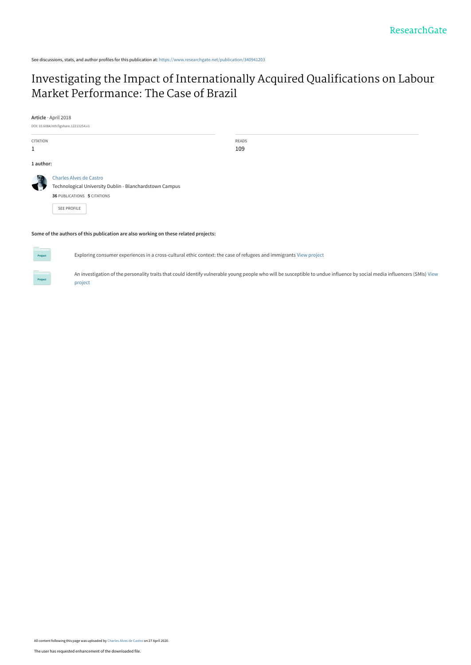See discussions, stats, and author profiles for this publication at: [https://www.researchgate.net/publication/340941203](https://www.researchgate.net/publication/340941203_Investigating_the_Impact_of_Internationally_Acquired_Qualifications_on_Labour_Market_Performance_The_Case_of_Brazil?enrichId=rgreq-50298b27f7a5e050fe7c35435ecd8d0a-XXX&enrichSource=Y292ZXJQYWdlOzM0MDk0MTIwMztBUzo4ODQ4OTc5NzE0NjIxNDlAMTU4Nzk4NzUyNTE5Mg%3D%3D&el=1_x_2&_esc=publicationCoverPdf)

# [Investigating the Impact of Internationally Acquired Qualifications on Labour](https://www.researchgate.net/publication/340941203_Investigating_the_Impact_of_Internationally_Acquired_Qualifications_on_Labour_Market_Performance_The_Case_of_Brazil?enrichId=rgreq-50298b27f7a5e050fe7c35435ecd8d0a-XXX&enrichSource=Y292ZXJQYWdlOzM0MDk0MTIwMztBUzo4ODQ4OTc5NzE0NjIxNDlAMTU4Nzk4NzUyNTE5Mg%3D%3D&el=1_x_3&_esc=publicationCoverPdf) Market Performance: The Case of Brazil

**Article** · April 2018

DOI: 10.6084/m9.figshare.12213254.v1 CITATION 1 READS 109 **1 author:** [Charles Alves de Castro](https://www.researchgate.net/profile/Charles-Alves-De-Castro?enrichId=rgreq-50298b27f7a5e050fe7c35435ecd8d0a-XXX&enrichSource=Y292ZXJQYWdlOzM0MDk0MTIwMztBUzo4ODQ4OTc5NzE0NjIxNDlAMTU4Nzk4NzUyNTE5Mg%3D%3D&el=1_x_5&_esc=publicationCoverPdf) [Technological University Dublin - Blanchardstown Campus](https://www.researchgate.net/institution/Technological-University-Dublin-Blanchardstown-Campus?enrichId=rgreq-50298b27f7a5e050fe7c35435ecd8d0a-XXX&enrichSource=Y292ZXJQYWdlOzM0MDk0MTIwMztBUzo4ODQ4OTc5NzE0NjIxNDlAMTU4Nzk4NzUyNTE5Mg%3D%3D&el=1_x_6&_esc=publicationCoverPdf) **36** PUBLICATIONS **5** CITATIONS [SEE PROFILE](https://www.researchgate.net/profile/Charles-Alves-De-Castro?enrichId=rgreq-50298b27f7a5e050fe7c35435ecd8d0a-XXX&enrichSource=Y292ZXJQYWdlOzM0MDk0MTIwMztBUzo4ODQ4OTc5NzE0NjIxNDlAMTU4Nzk4NzUyNTE5Mg%3D%3D&el=1_x_7&_esc=publicationCoverPdf)

**Some of the authors of this publication are also working on these related projects:**



Exploring consumer experiences in a cross-cultural ethic context: the case of refugees and immigrants [View project](https://www.researchgate.net/project/Exploring-consumer-experiences-in-a-cross-cultural-ethic-context-the-case-of-refugees-and-immigrants?enrichId=rgreq-50298b27f7a5e050fe7c35435ecd8d0a-XXX&enrichSource=Y292ZXJQYWdlOzM0MDk0MTIwMztBUzo4ODQ4OTc5NzE0NjIxNDlAMTU4Nzk4NzUyNTE5Mg%3D%3D&el=1_x_9&_esc=publicationCoverPdf)

[An investigation of the personality traits that could identify vulnerable young people who will be susceptible to undue influence by social media influencers \(SMIs\)](https://www.researchgate.net/project/An-investigation-of-the-personality-traits-that-could-identify-vulnerable-young-people-who-will-be-susceptible-to-undue-influence-by-social-media-influencers-SMIs?enrichId=rgreq-50298b27f7a5e050fe7c35435ecd8d0a-XXX&enrichSource=Y292ZXJQYWdlOzM0MDk0MTIwMztBUzo4ODQ4OTc5NzE0NjIxNDlAMTU4Nzk4NzUyNTE5Mg%3D%3D&el=1_x_9&_esc=publicationCoverPdf) View project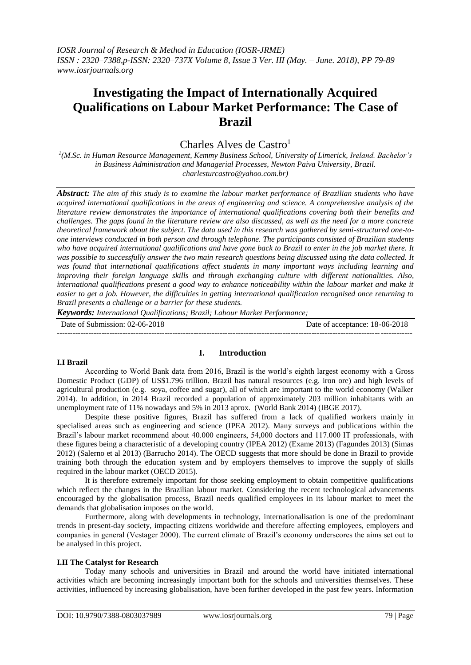# **Investigating the Impact of Internationally Acquired Qualifications on Labour Market Performance: The Case of Brazil**

Charles Alves de Castro<sup>1</sup>

*1 (M.Sc. in Human Resource Management, Kemmy Business School, University of Limerick, Ireland. Bachelor's in Business Administration and Managerial Processes, Newton Paiva University, Brazil. charlesturcastro@yahoo.com.br)*

*Abstract: The aim of this study is to examine the labour market performance of Brazilian students who have acquired international qualifications in the areas of engineering and science. A comprehensive analysis of the literature review demonstrates the importance of international qualifications covering both their benefits and challenges. The gaps found in the literature review are also discussed, as well as the need for a more concrete theoretical framework about the subject. The data used in this research was gathered by semi-structured one-toone interviews conducted in both person and through telephone. The participants consisted of Brazilian students*  who have acquired international qualifications and have gone back to Brazil to enter in the job market there. It *was possible to successfully answer the two main research questions being discussed using the data collected. It was found that international qualifications affect students in many important ways including learning and improving their foreign language skills and through exchanging culture with different nationalities. Also,*  international qualifications present a good way to enhance noticeability within the labour market and make it *easier to get a job. However, the difficulties in getting international qualification recognised once returning to Brazil presents a challenge or a barrier for these students.*

*Keywords: International Qualifications; Brazil; Labour Market Performance;*

Date of Submission: 02-06-2018 Date of acceptance: 18-06-2018 ---------------------------------------------------------------------------------------------------------------------------------------

# **I.I Brazil**

# **I. Introduction**

According to World Bank data from 2016, Brazil is the world's eighth largest economy with a Gross Domestic Product (GDP) of US\$1.796 trillion. Brazil has natural resources (e.g. iron ore) and high levels of agricultural production (e.g. soya, coffee and sugar), all of which are important to the world economy (Walker 2014). In addition, in 2014 Brazil recorded a population of approximately 203 million inhabitants with an unemployment rate of 11% nowadays and 5% in 2013 aprox. (World Bank 2014) (IBGE 2017).

Despite these positive figures, Brazil has suffered from a lack of qualified workers mainly in specialised areas such as engineering and science (IPEA 2012). Many surveys and publications within the Brazil's labour market recommend about 40.000 engineers, 54,000 doctors and 117.000 IT professionals, with these figures being a characteristic of a developing country (IPEA 2012) (Exame 2013) (Fagundes 2013) (Simas 2012) (Salerno et al 2013) (Barrucho 2014). The OECD suggests that more should be done in Brazil to provide training both through the education system and by employers themselves to improve the supply of skills required in the labour market (OECD 2015).

It is therefore extremely important for those seeking employment to obtain competitive qualifications which reflect the changes in the Brazilian labour market. Considering the recent technological advancements encouraged by the globalisation process, Brazil needs qualified employees in its labour market to meet the demands that globalisation imposes on the world.

Furthermore, along with developments in technology, internationalisation is one of the predominant trends in present-day society, impacting citizens worldwide and therefore affecting employees, employers and companies in general (Vestager 2000). The current climate of Brazil's economy underscores the aims set out to be analysed in this project.

#### **I.II The Catalyst for Research**

Today many schools and universities in Brazil and around the world have initiated international activities which are becoming increasingly important both for the schools and universities themselves. These activities, influenced by increasing globalisation, have been further developed in the past few years. Information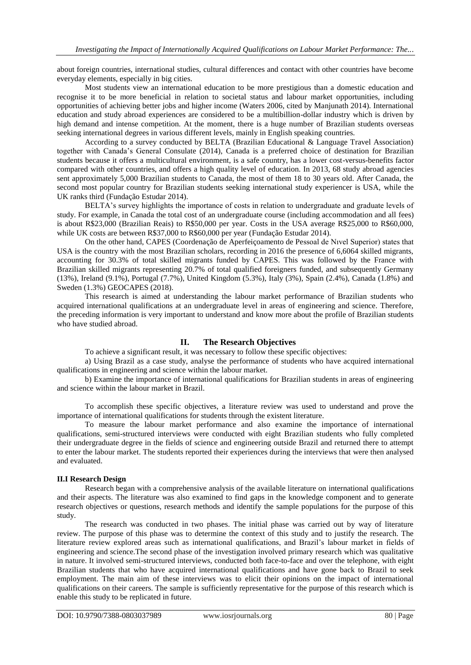about foreign countries, international studies, cultural differences and contact with other countries have become everyday elements, especially in big cities.

Most students view an international education to be more prestigious than a domestic education and recognise it to be more beneficial in relation to societal status and labour market opportunities, including opportunities of achieving better jobs and higher income (Waters 2006, cited by Manjunath 2014). International education and study abroad experiences are considered to be a multibillion-dollar industry which is driven by high demand and intense competition. At the moment, there is a huge number of Brazilian students overseas seeking international degrees in various different levels, mainly in English speaking countries.

According to a survey conducted by BELTA (Brazilian Educational & Language Travel Association) together with Canada's General Consulate (2014), Canada is a preferred choice of destination for Brazilian students because it offers a multicultural environment, is a safe country, has a lower cost-versus-benefits factor compared with other countries, and offers a high quality level of education. In 2013, 68 study abroad agencies sent approximately 5,000 Brazilian students to Canada, the most of them 18 to 30 years old. After Canada, the second most popular country for Brazilian students seeking international study experiencer is USA, while the UK ranks third (Fundação Estudar 2014).

BELTA's survey highlights the importance of costs in relation to undergraduate and graduate levels of study. For example, in Canada the total cost of an undergraduate course (including accommodation and all fees) is about R\$23,000 (Brazilian Reais) to R\$50,000 per year. Costs in the USA average R\$25,000 to R\$60,000, while UK costs are between R\$37,000 to R\$60,000 per year (Fundação Estudar 2014).

On the other hand, CAPES (Coordenação de Aperfeiçoamento de Pessoal de Nıvel Superior) states that USA is the country with the most Brazilian scholars, recording in 2016 the presence of 6,6064 skilled migrants, accounting for 30.3% of total skilled migrants funded by CAPES. This was followed by the France with Brazilian skilled migrants representing 20.7% of total qualified foreigners funded, and subsequently Germany (13%), Ireland (9.1%), Portugal (7.7%), United Kingdom (5.3%), Italy (3%), Spain (2.4%), Canada (1.8%) and Sweden (1.3%) GEOCAPES (2018).

This research is aimed at understanding the labour market performance of Brazilian students who acquired international qualifications at an undergraduate level in areas of engineering and science. Therefore, the preceding information is very important to understand and know more about the profile of Brazilian students who have studied abroad.

# **II. The Research Objectives**

To achieve a significant result, it was necessary to follow these specific objectives:

a) Using Brazil as a case study, analyse the performance of students who have acquired international qualifications in engineering and science within the labour market.

b) Examine the importance of international qualifications for Brazilian students in areas of engineering and science within the labour market in Brazil.

To accomplish these specific objectives, a literature review was used to understand and prove the importance of international qualifications for students through the existent literature.

To measure the labour market performance and also examine the importance of international qualifications, semi-structured interviews were conducted with eight Brazilian students who fully completed their undergraduate degree in the fields of science and engineering outside Brazil and returned there to attempt to enter the labour market. The students reported their experiences during the interviews that were then analysed and evaluated.

#### **II.I Research Design**

Research began with a comprehensive analysis of the available literature on international qualifications and their aspects. The literature was also examined to find gaps in the knowledge component and to generate research objectives or questions, research methods and identify the sample populations for the purpose of this study.

The research was conducted in two phases. The initial phase was carried out by way of literature review. The purpose of this phase was to determine the context of this study and to justify the research. The literature review explored areas such as international qualifications, and Brazil's labour market in fields of engineering and science.The second phase of the investigation involved primary research which was qualitative in nature. It involved semi-structured interviews, conducted both face-to-face and over the telephone, with eight Brazilian students that who have acquired international qualifications and have gone back to Brazil to seek employment. The main aim of these interviews was to elicit their opinions on the impact of international qualifications on their careers. The sample is sufficiently representative for the purpose of this research which is enable this study to be replicated in future.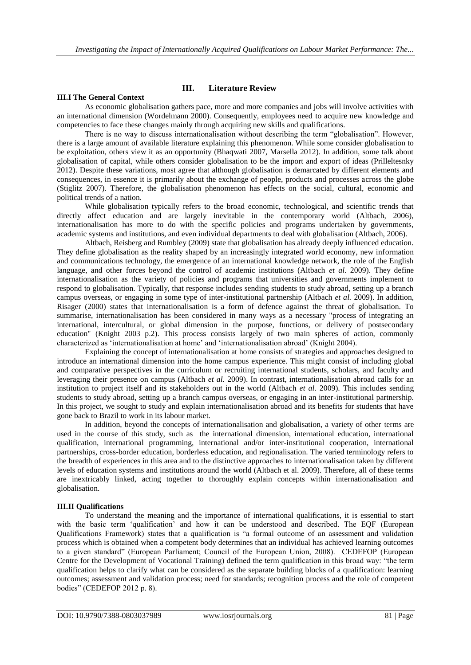# **III.I The General Context**

# **III. Literature Review**

As economic globalisation gathers pace, more and more companies and jobs will involve activities with an international dimension (Wordelmann 2000). Consequently, employees need to acquire new knowledge and competencies to face these changes mainly through acquiring new skills and qualifications.

There is no way to discuss internationalisation without describing the term "globalisation". However, there is a large amount of available literature explaining this phenomenon. While some consider globalisation to be exploitation, others view it as an opportunity (Bhaqwati 2007, Marsella 2012). In addition, some talk about globalisation of capital, while others consider globalisation to be the import and export of ideas (Prilleltesnky 2012). Despite these variations, most agree that although globalisation is demarcated by different elements and consequences, in essence it is primarily about the exchange of people, products and processes across the globe (Stiglitz 2007). Therefore, the globalisation phenomenon has effects on the social, cultural, economic and political trends of a nation.

While globalisation typically refers to the broad economic, technological, and scientific trends that directly affect education and are largely inevitable in the contemporary world (Altbach, 2006), internationalisation has more to do with the specific policies and programs undertaken by governments, academic systems and institutions, and even individual departments to deal with globalisation (Altbach, 2006).

Altbach, Reisberg and Rumbley (2009) state that globalisation has already deeply influenced education. They define globalisation as the reality shaped by an increasingly integrated world economy, new information and communications technology, the emergence of an international knowledge network, the role of the English language, and other forces beyond the control of academic institutions (Altbach *et al.* 2009). They define internationalisation as the variety of policies and programs that universities and governments implement to respond to globalisation. Typically, that response includes sending students to study abroad, setting up a branch campus overseas, or engaging in some type of inter-institutional partnership (Altbach *et al.* 2009). In addition, Risager (2000) states that internationalisation is a form of defence against the threat of globalisation. To summarise, internationalisation has been considered in many ways as a necessary "process of integrating an international, intercultural, or global dimension in the purpose, functions, or delivery of postsecondary education" (Knight 2003 p.2). This process consists largely of two main spheres of action, commonly characterized as 'internationalisation at home' and 'internationalisation abroad' (Knight 2004).

Explaining the concept of internationalisation at home consists of strategies and approaches designed to introduce an international dimension into the home campus experience. This might consist of including global and comparative perspectives in the curriculum or recruiting international students, scholars, and faculty and leveraging their presence on campus (Altbach *et al.* 2009). In contrast, internationalisation abroad calls for an institution to project itself and its stakeholders out in the world (Altbach *et al.* 2009). This includes sending students to study abroad, setting up a branch campus overseas, or engaging in an inter-institutional partnership. In this project, we sought to study and explain internationalisation abroad and its benefits for students that have gone back to Brazil to work in its labour market.

In addition, beyond the concepts of internationalisation and globalisation, a variety of other terms are used in the course of this study, such as the international dimension, international education, international qualification, international programming, international and/or inter-institutional cooperation, international partnerships, cross-border education, borderless education, and regionalisation. The varied terminology refers to the breadth of experiences in this area and to the distinctive approaches to internationalisation taken by different levels of education systems and institutions around the world (Altbach et al. 2009). Therefore, all of these terms are inextricably linked, acting together to thoroughly explain concepts within internationalisation and globalisation.

#### **III.II Qualifications**

To understand the meaning and the importance of international qualifications, it is essential to start with the basic term 'qualification' and how it can be understood and described. The EQF (European Qualifications Framework) states that a qualification is "a formal outcome of an assessment and validation process which is obtained when a competent body determines that an individual has achieved learning outcomes to a given standard" (European Parliament; Council of the European Union, 2008). CEDEFOP (European Centre for the Development of Vocational Training) defined the term qualification in this broad way: "the term qualification helps to clarify what can be considered as the separate building blocks of a qualification: learning outcomes; assessment and validation process; need for standards; recognition process and the role of competent bodies" (CEDEFOP 2012 p. 8).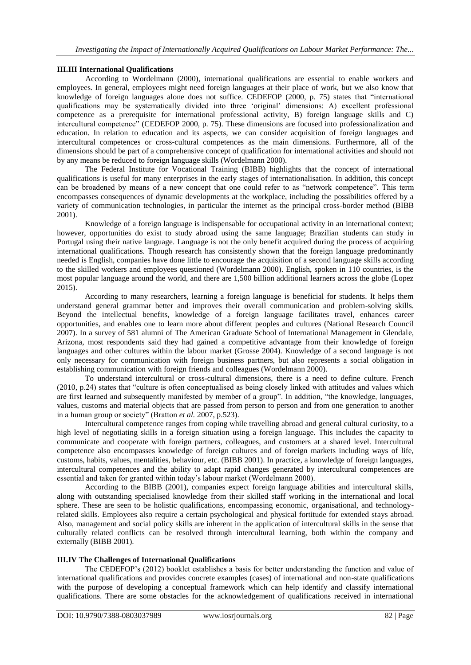# **III.III International Qualifications**

According to Wordelmann (2000), international qualifications are essential to enable workers and employees. In general, employees might need foreign languages at their place of work, but we also know that knowledge of foreign languages alone does not suffice. CEDEFOP (2000, p. 75) states that "international qualifications may be systematically divided into three 'original' dimensions: A) excellent professional competence as a prerequisite for international professional activity, B) foreign language skills and C) intercultural competence" (CEDEFOP 2000, p. 75). These dimensions are focused into professionalization and education. In relation to education and its aspects, we can consider acquisition of foreign languages and intercultural competences or cross-cultural competences as the main dimensions. Furthermore, all of the dimensions should be part of a comprehensive concept of qualification for international activities and should not by any means be reduced to foreign language skills (Wordelmann 2000).

The Federal Institute for Vocational Training (BIBB) highlights that the concept of international qualifications is useful for many enterprises in the early stages of internationalisation. In addition, this concept can be broadened by means of a new concept that one could refer to as "network competence". This term encompasses consequences of dynamic developments at the workplace, including the possibilities offered by a variety of communication technologies, in particular the internet as the principal cross-border method (BIBB 2001).

Knowledge of a foreign language is indispensable for occupational activity in an international context; however, opportunities do exist to study abroad using the same language; Brazilian students can study in Portugal using their native language. Language is not the only benefit acquired during the process of acquiring international qualifications. Though research has consistently shown that the foreign language predominantly needed is English, companies have done little to encourage the acquisition of a second language skills according to the skilled workers and employees questioned (Wordelmann 2000). English, spoken in 110 countries, is the most popular language around the world, and there are 1,500 billion additional learners across the globe (Lopez 2015).

According to many researchers, learning a foreign language is beneficial for students. It helps them understand general grammar better and improves their overall communication and problem-solving skills. Beyond the intellectual benefits, knowledge of a foreign language facilitates travel, enhances career opportunities, and enables one to learn more about different peoples and cultures (National Research Council 2007). In a survey of 581 alumni of The American Graduate School of International Management in Glendale, Arizona, most respondents said they had gained a competitive advantage from their knowledge of foreign languages and other cultures within the labour market (Grosse 2004). Knowledge of a second language is not only necessary for communication with foreign business partners, but also represents a social obligation in establishing communication with foreign friends and colleagues (Wordelmann 2000).

To understand intercultural or cross-cultural dimensions, there is a need to define culture. French (2010, p.24) states that "culture is often conceptualised as being closely linked with attitudes and values which are first learned and subsequently manifested by member of a group". In addition, "the knowledge, languages, values, customs and material objects that are passed from person to person and from one generation to another in a human group or society" (Bratton *et al.* 2007, p.523).

Intercultural competence ranges from coping while travelling abroad and general cultural curiosity, to a high level of negotiating skills in a foreign situation using a foreign language. This includes the capacity to communicate and cooperate with foreign partners, colleagues, and customers at a shared level. Intercultural competence also encompasses knowledge of foreign cultures and of foreign markets including ways of life, customs, habits, values, mentalities, behaviour, etc. (BIBB 2001). In practice, a knowledge of foreign languages, intercultural competences and the ability to adapt rapid changes generated by intercultural competences are essential and taken for granted within today's labour market (Wordelmann 2000).

According to the BIBB (2001), companies expect foreign language abilities and intercultural skills, along with outstanding specialised knowledge from their skilled staff working in the international and local sphere. These are seen to be holistic qualifications, encompassing economic, organisational, and technologyrelated skills. Employees also require a certain psychological and physical fortitude for extended stays abroad. Also, management and social policy skills are inherent in the application of intercultural skills in the sense that culturally related conflicts can be resolved through intercultural learning, both within the company and externally (BIBB 2001).

#### **III.IV The Challenges of International Qualifications**

The CEDEFOP's (2012) booklet establishes a basis for better understanding the function and value of international qualifications and provides concrete examples (cases) of international and non-state qualifications with the purpose of developing a conceptual framework which can help identify and classify international qualifications. There are some obstacles for the acknowledgement of qualifications received in international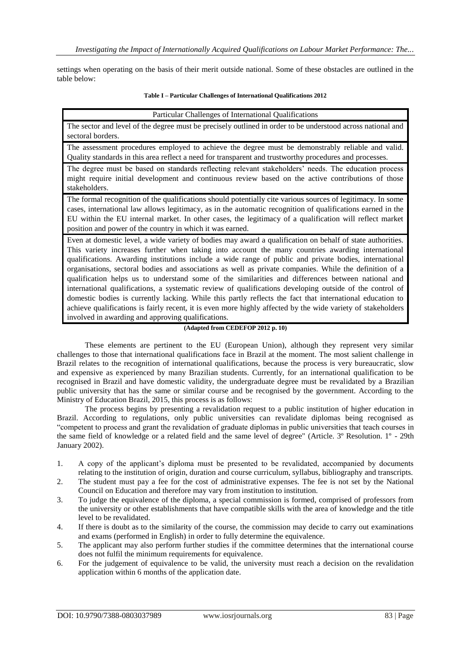settings when operating on the basis of their merit outside national. Some of these obstacles are outlined in the table below:

#### **Table I – Particular Challenges of International Qualifications 2012**

| Particular Challenges of International Qualifications |  |
|-------------------------------------------------------|--|
|                                                       |  |

The sector and level of the degree must be precisely outlined in order to be understood across national and sectoral borders.

The assessment procedures employed to achieve the degree must be demonstrably reliable and valid. Quality standards in this area reflect a need for transparent and trustworthy procedures and processes.

The degree must be based on standards reflecting relevant stakeholders' needs. The education process might require initial development and continuous review based on the active contributions of those stakeholders.

The formal recognition of the qualifications should potentially cite various sources of legitimacy. In some cases, international law allows legitimacy, as in the automatic recognition of qualifications earned in the EU within the EU internal market. In other cases, the legitimacy of a qualification will reflect market position and power of the country in which it was earned.

Even at domestic level, a wide variety of bodies may award a qualification on behalf of state authorities. This variety increases further when taking into account the many countries awarding international qualifications. Awarding institutions include a wide range of public and private bodies, international organisations, sectoral bodies and associations as well as private companies. While the definition of a qualification helps us to understand some of the similarities and differences between national and international qualifications, a systematic review of qualifications developing outside of the control of domestic bodies is currently lacking. While this partly reflects the fact that international education to achieve qualifications is fairly recent, it is even more highly affected by the wide variety of stakeholders involved in awarding and approving qualifications.

### **(Adapted from CEDEFOP 2012 p. 10)**

These elements are pertinent to the EU (European Union), although they represent very similar challenges to those that international qualifications face in Brazil at the moment. The most salient challenge in Brazil relates to the recognition of international qualifications, because the process is very bureaucratic, slow and expensive as experienced by many Brazilian students. Currently, for an international qualification to be recognised in Brazil and have domestic validity, the undergraduate degree must be revalidated by a Brazilian public university that has the same or similar course and be recognised by the government. According to the Ministry of Education Brazil, 2015, this process is as follows:

The process begins by presenting a revalidation request to a public institution of higher education in Brazil. According to regulations, only public universities can revalidate diplomas being recognised as "competent to process and grant the revalidation of graduate diplomas in public universities that teach courses in the same field of knowledge or a related field and the same level of degree" (Article. 3º Resolution. 1º - 29th January 2002).

- 1. A copy of the applicant's diploma must be presented to be revalidated, accompanied by documents relating to the institution of origin, duration and course curriculum, syllabus, bibliography and transcripts.
- 2. The student must pay a fee for the cost of administrative expenses. The fee is not set by the National Council on Education and therefore may vary from institution to institution.
- 3. To judge the equivalence of the diploma, a special commission is formed, comprised of professors from the university or other establishments that have compatible skills with the area of knowledge and the title level to be revalidated.
- 4. If there is doubt as to the similarity of the course, the commission may decide to carry out examinations and exams (performed in English) in order to fully determine the equivalence.
- 5. The applicant may also perform further studies if the committee determines that the international course does not fulfil the minimum requirements for equivalence.
- 6. For the judgement of equivalence to be valid, the university must reach a decision on the revalidation application within 6 months of the application date.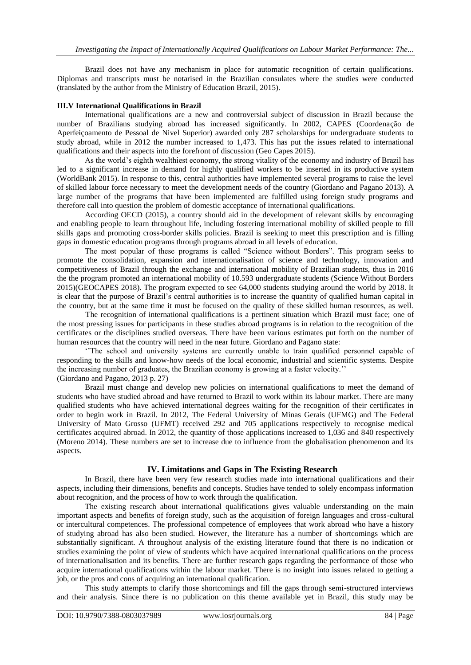Brazil does not have any mechanism in place for automatic recognition of certain qualifications. Diplomas and transcripts must be notarised in the Brazilian consulates where the studies were conducted (translated by the author from the Ministry of Education Brazil, 2015).

#### **III.V International Qualifications in Brazil**

International qualifications are a new and controversial subject of discussion in Brazil because the number of Brazilians studying abroad has increased significantly. In 2002, CAPES (Coordenação de Aperfeiçoamento de Pessoal de Nivel Superior) awarded only 287 scholarships for undergraduate students to study abroad, while in 2012 the number increased to 1,473. This has put the issues related to international qualifications and their aspects into the forefront of discussion (Geo Capes 2015).

As the world's eighth wealthiest economy, the strong vitality of the economy and industry of Brazil has led to a significant increase in demand for highly qualified workers to be inserted in its productive system (WorldBank 2015). In response to this, central authorities have implemented several programs to raise the level of skilled labour force necessary to meet the development needs of the country (Giordano and Pagano 2013). A large number of the programs that have been implemented are fulfilled using foreign study programs and therefore call into question the problem of domestic acceptance of international qualifications.

According OECD (2015), a country should aid in the development of relevant skills by encouraging and enabling people to learn throughout life, including fostering international mobility of skilled people to fill skills gaps and promoting cross-border skills policies. Brazil is seeking to meet this prescription and is filling gaps in domestic education programs through programs abroad in all levels of education.

The most popular of these programs is called "Science without Borders". This program seeks to promote the consolidation, expansion and internationalisation of science and technology, innovation and competitiveness of Brazil through the exchange and international mobility of Brazilian students, thus in 2016 the the program promoted an international mobility of 10.593 undergraduate students (Science Without Borders 2015)(GEOCAPES 2018). The program expected to see 64,000 students studying around the world by 2018. It is clear that the purpose of Brazil's central authorities is to increase the quantity of qualified human capital in the country, but at the same time it must be focused on the quality of these skilled human resources, as well.

The recognition of international qualifications is a pertinent situation which Brazil must face; one of the most pressing issues for participants in these studies abroad programs is in relation to the recognition of the certificates or the disciplines studied overseas. There have been various estimates put forth on the number of human resources that the country will need in the near future. Giordano and Pagano state:

''The school and university systems are currently unable to train qualified personnel capable of responding to the skills and know-how needs of the local economic, industrial and scientific systems. Despite the increasing number of graduates, the Brazilian economy is growing at a faster velocity.'' (Giordano and Pagano, 2013 p. 27)

Brazil must change and develop new policies on international qualifications to meet the demand of students who have studied abroad and have returned to Brazil to work within its labour market. There are many qualified students who have achieved international degrees waiting for the recognition of their certificates in order to begin work in Brazil. In 2012, The Federal University of Minas Gerais (UFMG) and The Federal University of Mato Grosso (UFMT) received 292 and 705 applications respectively to recognise medical certificates acquired abroad. In 2012, the quantity of those applications increased to 1,036 and 840 respectively (Moreno 2014). These numbers are set to increase due to influence from the globalisation phenomenon and its aspects.

#### **IV. Limitations and Gaps in The Existing Research**

In Brazil, there have been very few research studies made into international qualifications and their aspects, including their dimensions, benefits and concepts. Studies have tended to solely encompass information about recognition, and the process of how to work through the qualification.

The existing research about international qualifications gives valuable understanding on the main important aspects and benefits of foreign study, such as the acquisition of foreign languages and cross-cultural or intercultural competences. The professional competence of employees that work abroad who have a history of studying abroad has also been studied. However, the literature has a number of shortcomings which are substantially significant. A throughout analysis of the existing literature found that there is no indication or studies examining the point of view of students which have acquired international qualifications on the process of internationalisation and its benefits. There are further research gaps regarding the performance of those who acquire international qualifications within the labour market. There is no insight into issues related to getting a job, or the pros and cons of acquiring an international qualification.

This study attempts to clarify those shortcomings and fill the gaps through semi-structured interviews and their analysis. Since there is no publication on this theme available yet in Brazil, this study may be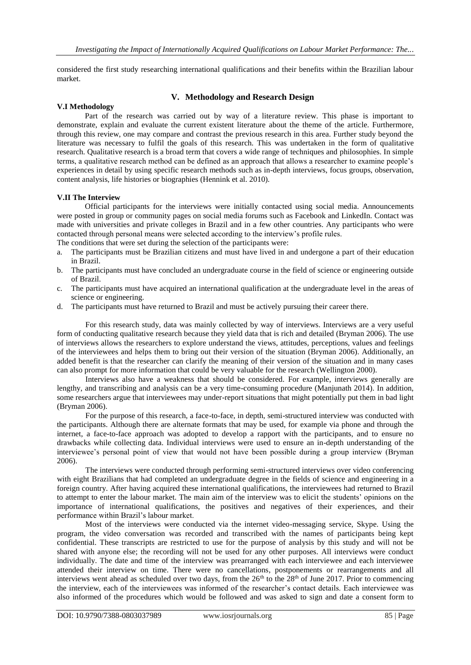considered the first study researching international qualifications and their benefits within the Brazilian labour market.

# **V. Methodology and Research Design**

#### **V.I Methodology**

Part of the research was carried out by way of a literature review. This phase is important to demonstrate, explain and evaluate the current existent literature about the theme of the article. Furthermore, through this review, one may compare and contrast the previous research in this area. Further study beyond the literature was necessary to fulfil the goals of this research. This was undertaken in the form of qualitative research. Qualitative research is a broad term that covers a wide range of techniques and philosophies. In simple terms, a qualitative research method can be defined as an approach that allows a researcher to examine people's experiences in detail by using specific research methods such as in-depth interviews, focus groups, observation, content analysis, life histories or biographies (Hennink et al. 2010).

#### **V.II The Interview**

Official participants for the interviews were initially contacted using social media. Announcements were posted in group or community pages on social media forums such as Facebook and LinkedIn. Contact was made with universities and private colleges in Brazil and in a few other countries. Any participants who were contacted through personal means were selected according to the interview's profile rules.

The conditions that were set during the selection of the participants were:

- a. The participants must be Brazilian citizens and must have lived in and undergone a part of their education in Brazil.
- b. The participants must have concluded an undergraduate course in the field of science or engineering outside of Brazil.
- c. The participants must have acquired an international qualification at the undergraduate level in the areas of science or engineering.
- d. The participants must have returned to Brazil and must be actively pursuing their career there.

For this research study, data was mainly collected by way of interviews. Interviews are a very useful form of conducting qualitative research because they yield data that is rich and detailed (Bryman 2006). The use of interviews allows the researchers to explore understand the views, attitudes, perceptions, values and feelings of the interviewees and helps them to bring out their version of the situation (Bryman 2006). Additionally, an added benefit is that the researcher can clarify the meaning of their version of the situation and in many cases can also prompt for more information that could be very valuable for the research (Wellington 2000).

Interviews also have a weakness that should be considered. For example, interviews generally are lengthy, and transcribing and analysis can be a very time-consuming procedure (Manjunath 2014). In addition, some researchers argue that interviewees may under-report situations that might potentially put them in bad light (Bryman 2006).

For the purpose of this research, a face-to-face, in depth, semi-structured interview was conducted with the participants. Although there are alternate formats that may be used, for example via phone and through the internet, a face-to-face approach was adopted to develop a rapport with the participants, and to ensure no drawbacks while collecting data. Individual interviews were used to ensure an in-depth understanding of the interviewee's personal point of view that would not have been possible during a group interview (Bryman 2006).

The interviews were conducted through performing semi-structured interviews over video conferencing with eight Brazilians that had completed an undergraduate degree in the fields of science and engineering in a foreign country. After having acquired these international qualifications, the interviewees had returned to Brazil to attempt to enter the labour market. The main aim of the interview was to elicit the students' opinions on the importance of international qualifications, the positives and negatives of their experiences, and their performance within Brazil's labour market.

Most of the interviews were conducted via the internet video-messaging service, Skype. Using the program, the video conversation was recorded and transcribed with the names of participants being kept confidential. These transcripts are restricted to use for the purpose of analysis by this study and will not be shared with anyone else; the recording will not be used for any other purposes. All interviews were conduct individually. The date and time of the interview was prearranged with each interviewee and each interviewee attended their interview on time. There were no cancellations, postponements or rearrangements and all interviews went ahead as scheduled over two days, from the  $26<sup>th</sup>$  to the  $28<sup>th</sup>$  of June 2017. Prior to commencing the interview, each of the interviewees was informed of the researcher's contact details. Each interviewee was also informed of the procedures which would be followed and was asked to sign and date a consent form to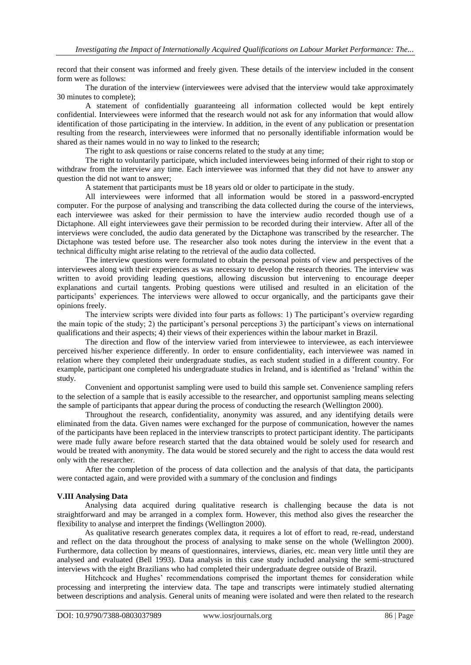record that their consent was informed and freely given. These details of the interview included in the consent form were as follows:

The duration of the interview (interviewees were advised that the interview would take approximately 30 minutes to complete);

A statement of confidentially guaranteeing all information collected would be kept entirely confidential. Interviewees were informed that the research would not ask for any information that would allow identification of those participating in the interview. In addition, in the event of any publication or presentation resulting from the research, interviewees were informed that no personally identifiable information would be shared as their names would in no way to linked to the research;

The right to ask questions or raise concerns related to the study at any time;

The right to voluntarily participate, which included interviewees being informed of their right to stop or withdraw from the interview any time. Each interviewee was informed that they did not have to answer any question the did not want to answer;

A statement that participants must be 18 years old or older to participate in the study.

All interviewees were informed that all information would be stored in a password-encrypted computer. For the purpose of analysing and transcribing the data collected during the course of the interviews, each interviewee was asked for their permission to have the interview audio recorded though use of a Dictaphone. All eight interviewees gave their permission to be recorded during their interview. After all of the interviews were concluded, the audio data generated by the Dictaphone was transcribed by the researcher. The Dictaphone was tested before use. The researcher also took notes during the interview in the event that a technical difficulty might arise relating to the retrieval of the audio data collected.

The interview questions were formulated to obtain the personal points of view and perspectives of the interviewees along with their experiences as was necessary to develop the research theories. The interview was written to avoid providing leading questions, allowing discussion but intervening to encourage deeper explanations and curtail tangents. Probing questions were utilised and resulted in an elicitation of the participants' experiences. The interviews were allowed to occur organically, and the participants gave their opinions freely.

The interview scripts were divided into four parts as follows: 1) The participant's overview regarding the main topic of the study; 2) the participant's personal perceptions 3) the participant's views on international qualifications and their aspects; 4) their views of their experiences within the labour market in Brazil.

The direction and flow of the interview varied from interviewee to interviewee, as each interviewee perceived his/her experience differently. In order to ensure confidentiality, each interviewee was named in relation where they completed their undergraduate studies, as each student studied in a different country. For example, participant one completed his undergraduate studies in Ireland, and is identified as 'Ireland' within the study.

Convenient and opportunist sampling were used to build this sample set. Convenience sampling refers to the selection of a sample that is easily accessible to the researcher, and opportunist sampling means selecting the sample of participants that appear during the process of conducting the research (Wellington 2000).

Throughout the research, confidentiality, anonymity was assured, and any identifying details were eliminated from the data. Given names were exchanged for the purpose of communication, however the names of the participants have been replaced in the interview transcripts to protect participant identity. The participants were made fully aware before research started that the data obtained would be solely used for research and would be treated with anonymity. The data would be stored securely and the right to access the data would rest only with the researcher.

After the completion of the process of data collection and the analysis of that data, the participants were contacted again, and were provided with a summary of the conclusion and findings

#### **V.III Analysing Data**

Analysing data acquired during qualitative research is challenging because the data is not straightforward and may be arranged in a complex form. However, this method also gives the researcher the flexibility to analyse and interpret the findings (Wellington 2000).

As qualitative research generates complex data, it requires a lot of effort to read, re-read, understand and reflect on the data throughout the process of analysing to make sense on the whole (Wellington 2000). Furthermore, data collection by means of questionnaires, interviews, diaries, etc. mean very little until they are analysed and evaluated (Bell 1993). Data analysis in this case study included analysing the semi-structured interviews with the eight Brazilians who had completed their undergraduate degree outside of Brazil.

Hitchcock and Hughes' recommendations comprised the important themes for consideration while processing and interpreting the interview data. The tape and transcripts were intimately studied alternating between descriptions and analysis. General units of meaning were isolated and were then related to the research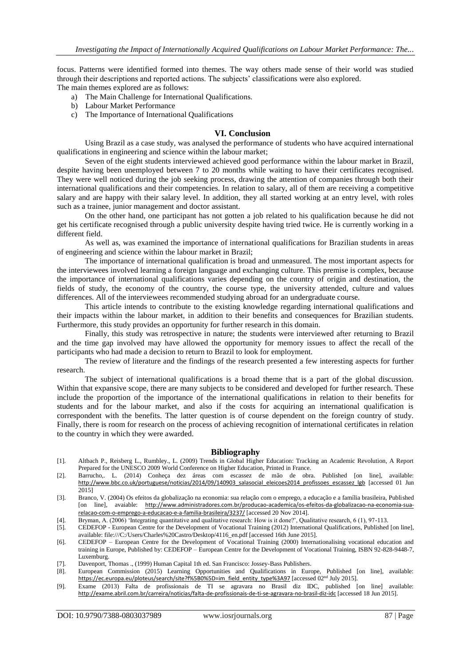focus. Patterns were identified formed into themes. The way others made sense of their world was studied through their descriptions and reported actions. The subjects' classifications were also explored. The main themes explored are as follows:

- a) The Main Challenge for International Qualifications.
- b) Labour Market Performance
- c) The Importance of International Qualifications

# **VI. Conclusion**

Using Brazil as a case study, was analysed the performance of students who have acquired international qualifications in engineering and science within the labour market;

Seven of the eight students interviewed achieved good performance within the labour market in Brazil, despite having been unemployed between 7 to 20 months while waiting to have their certificates recognised. They were well noticed during the job seeking process, drawing the attention of companies through both their international qualifications and their competencies. In relation to salary, all of them are receiving a competitive salary and are happy with their salary level. In addition, they all started working at an entry level, with roles such as a trainee, junior management and doctor assistant.

On the other hand, one participant has not gotten a job related to his qualification because he did not get his certificate recognised through a public university despite having tried twice. He is currently working in a different field.

As well as, was examined the importance of international qualifications for Brazilian students in areas of engineering and science within the labour market in Brazil;

The importance of international qualification is broad and unmeasured. The most important aspects for the interviewees involved learning a foreign language and exchanging culture. This premise is complex, because the importance of international qualifications varies depending on the country of origin and destination, the fields of study, the economy of the country, the course type, the university attended, culture and values differences. All of the interviewees recommended studying abroad for an undergraduate course.

This article intends to contribute to the existing knowledge regarding international qualifications and their impacts within the labour market, in addition to their benefits and consequences for Brazilian students. Furthermore, this study provides an opportunity for further research in this domain.

Finally, this study was retrospective in nature; the students were interviewed after returning to Brazil and the time gap involved may have allowed the opportunity for memory issues to affect the recall of the participants who had made a decision to return to Brazil to look for employment.

The review of literature and the findings of the research presented a few interesting aspects for further research.

The subject of international qualifications is a broad theme that is a part of the global discussion. Within that expansive scope, there are many subjects to be considered and developed for further research. These include the proportion of the importance of the international qualifications in relation to their benefits for students and for the labour market, and also if the costs for acquiring an international qualification is correspondent with the benefits. The latter question is of course dependent on the foreign country of study. Finally, there is room for research on the process of achieving recognition of international certificates in relation to the country in which they were awarded.

#### **Bibliography**

- [1]. Altbach P., Reisberg L., Rumbley., L. (2009) Trends in Global Higher Education: Tracking an Academic Revolution, A Report Prepared for the UNESCO 2009 World Conference on Higher Education, Printed in France.
- [2]. Barrucho,. L. (2014) Conheça dez áreas com escassez de mão de obra. Published [on line], available: [http://www.bbc.co.uk/portuguese/noticias/2014/09/140903\\_salasocial\\_eleicoes2014\\_profissoes\\_escassez\\_lgb](http://www.bbc.co.uk/portuguese/noticias/2014/09/140903_salasocial_eleicoes2014_profissoes_escassez_lgb) [accessed 01 Jun 2015]
- [3]. Branco, V. (2004) Os efeitos da globalização na economia: sua relação com o emprego, a educação e a família brasileira, Published [on line], avaiable: [http://www.administradores.com.br/producao-academica/os-efeitos-da-globalizacao-na-economia-sua](http://www.administradores.com.br/producao-academica/os-efeitos-da-globalizacao-na-economia-sua-relacao-com-o-emprego-a-educacao-e-a-familia-brasileira/3237/)[relacao-com-o-emprego-a-educacao-e-a-familia-brasileira/3237/](http://www.administradores.com.br/producao-academica/os-efeitos-da-globalizacao-na-economia-sua-relacao-com-o-emprego-a-educacao-e-a-familia-brasileira/3237/) [accessed 20 Nov 2014].
- [4]. Bryman, A. (2006) 'Integrating quantitative and qualitative research: How is it done?', Qualitative research, 6 (1), 97-113.
- [5]. CEDEFOP European Centre for the Development of Vocational Training (2012) International Qualifications, Published [on line], available: file:///C:/Users/Charles%20Castro/Desktop/4116\_en.pdf [accessed 16th June 2015].
- [6]. CEDEFOP European Centre for the Development of Vocational Training (2000) Internationalising vocational education and training in Europe, Published by: CEDEFOP – European Centre for the Development of Vocational Training, ISBN 92-828-9448-7, Luxemburg.
- [7]. Davenport, Thomas ., (1999) Human Capital 1th ed. San Francisco: Jossey-Bass Publishers.
- [8]. European Commission (2015) Learning Opportunities and Qualifications in Europe, Published [on line], available: [https://ec.europa.eu/ploteus/search/site?f%5B0%5D=im\\_field\\_entity\\_type%3A97](https://ec.europa.eu/ploteus/search/site?f%5B0%5D=im_field_entity_type%3A97) [accessed 02<sup>nd</sup> July 2015].
- [9]. Exame (2013) Falta de profissionais de TI se agravara no Brasil diz IDC, published [on line] available: <http://exame.abril.com.br/carreira/noticias/falta-de-profissionais-de-ti-se-agravara-no-brasil-diz-idc> [accessed 18 Jun 2015].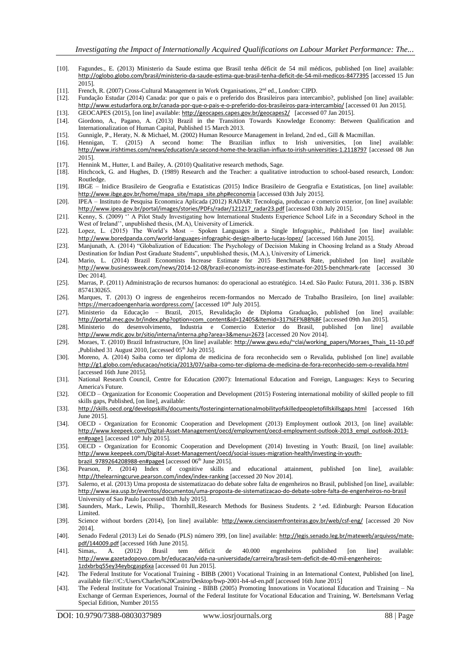- [10]. Fagundes., E. (2013) Ministerio da Saude estima que Brasil tenha déficit de 54 mil médicos, published [on line] available: <http://oglobo.globo.com/brasil/ministerio-da-saude-estima-que-brasil-tenha-deficit-de-54-mil-medicos-8477395> [accessed 15 Jun 2015].
- [11]. French, R. (2007) Cross-Cultural Management in Work Organisations, 2<sup>nd</sup> ed., London: CIPD.<br>[12]. Fundação Estudar (2014) Canada: por que o pais e o preferido dos Brasileiros para interca
- [12]. Fundação Estudar (2014) Canada: por que o pais e o preferido dos Brasileiros para intercambio?, published [on line] available: <http://www.estudarfora.org.br/canada-por-que-o-pais-e-o-preferido-dos-brasileiros-para-intercambio/> [accessed 01 Jun 2015].
- [13]. GEOCAPES (2015), [on line] available: <http://geocapes.capes.gov.br/geocapes2/> [accessed 07 Jan 2015].
- [14]. Giordono, A., Pagano, A. (2013) Brazil in the Transition Towards Knowledge Economy: Between Qualification and Internationalization of Human Capital, Published 15 March 2013.
- [15]. Gunnigle, P., Heraty, N. & Michael, M. (2002) Human Resource Management in Ireland, 2nd ed., Gill & Macmillan.
- Hennigan, T. (2015) A second home: The Brazilian influx to Irish universities, [on line] available: <http://www.irishtimes.com/news/education/a-second-home-the-brazilian-influx-to-irish-universities-1.2118797> [accessed 08 Jun 2015].
- [17]. Hennink M., Hutter, I. and Bailey, A. (2010) Qualitative research methods, Sage.
- [18]. Hitchcock, G. and Hughes, D. (1989) Research and the Teacher: a qualitative introduction to school-based research, London: Routledge.
- [19]. IBGE Inidice Brasileiro de Geografia e Estatisticas (2015) Indice Brasileiro de Geografia e Estatisticas, [on line] available: [http://www.ibge.gov.br/home/mapa\\_site/mapa\\_site.php#economia](http://www.ibge.gov.br/home/mapa_site/mapa_site.php#economia) [accessed 03th July 2015].
- [20]. IPEA Instituto de Pesquisa Economica Aplicada (2012) RADAR: Tecnologia, producao e comercio exterior, [on line] available: [http://www.ipea.gov.br/portal/images/stories/PDFs/radar/121217\\_radar23.pdf](http://www.ipea.gov.br/portal/images/stories/PDFs/radar/121217_radar23.pdf) [accessed 03th July 2015].
- [21]. Kenny, S. (2009) '' A Pilot Study Investigating how International Students Experience School Life in a Secondary School in the West of Ireland'', unpublished thesis, (M.A), University of Limerick.
- [22]. Lopez, L. (2015) The World's Most Spoken Languages in a Single Infographic,, Published [on line] available: <http://www.boredpanda.com/world-languages-infographic-design-alberto-lucas-lopez/> [accessed 16th June 2015].
- [23]. Manjunath, A. (2014) "Globalization of Education: The Psychology of Decision Making in Choosing Ireland as a Study Abroad Destination for Indian Post Graduate Students", unpublished thesis, (M.A.), University of Limerick.
- [24]. Mario, L. (2014) Brazil Economists Increase Estimate for 2015 Benchmark Rate, published [on line] available <http://www.businessweek.com/news/2014-12-08/brazil-economists-increase-estimate-for-2015-benchmark-rate> [accessed 30 Dec 2014].
- [25]. Marras, P. (2011) Administração de recursos humanos: do operacional ao estratégico. 14.ed. São Paulo: Futura, 2011. 336 p. ISBN 8574130265.
- [26]. Marques, T. (2013) O ingress de engenheiros recem-formandos no Mercado de Trabalho Brasileiro, [on line] available: <https://mercadoengenharia.wordpress.com/> [accessed 10<sup>th</sup> July 2015].
- [27]. Ministerio da Educação Brazil, 2015, Revalidação de Diploma Graduação, published [on line] available: [http://portal.mec.gov.br/index.php?option=com\\_content&id=12405&Itemid=317%EF%BB%BF](http://portal.mec.gov.br/index.php?option=com_content&id=12405&Itemid=317%EF%BB%BF) [accessed 09th Jun 2015].
- [28]. Ministerio do desenvolvimento, Industria e Comercio Exterior do Brasil, published [on line] available <http://www.mdic.gov.br/sitio/interna/interna.php?area=3&menu=2673> [accessed 20 Nov 2014].
- [29]. Moraes, T. (2010) Brazil Infrastructure, [On line] available: [http://www.gwu.edu/~clai/working\\_papers/Moraes\\_Thais\\_11-10.pdf](http://www.gwu.edu/~clai/working_papers/Moraes_Thais_11-10.pdf) ,Published 31 August 2010, [accessed 05<sup>th</sup> July 2015].
- [30]. Moreno, A. (2014) Saiba como ter diploma de medicina de fora reconhecido sem o Revalida, published [on line] available <http://g1.globo.com/educacao/noticia/2013/07/saiba-como-ter-diploma-de-medicina-de-fora-reconhecido-sem-o-revalida.html> [accessed 16th June 2015].
- [31]. National Research Council, Centre for Education (2007): International Education and Foreign, Languages: Keys to Securing America's Future.
- [32]. OECD Organization for Economic Cooperation and Development (2015) Fostering international mobility of skilled people to fill skills gaps, Published, [on line], available:
- [33]. <http://skills.oecd.org/developskills/documents/fosteringinternationalmobilityofskilledpeopletofillskillsgaps.html> [accessed 16th June 2015].
- [34]. OECD Organization for Economic Cooperation and Development (2013) Employment outlook 2013, [on line] available: [http://www.keepeek.com/Digital-Asset-Management/oecd/employment/oecd-employment-outlook-2013\\_empl\\_outlook-2013](http://www.keepeek.com/Digital-Asset-Management/oecd/employment/oecd-employment-outlook-2013_empl_outlook-2013-en#page1) [en#page1](http://www.keepeek.com/Digital-Asset-Management/oecd/employment/oecd-employment-outlook-2013_empl_outlook-2013-en#page1) [accessed  $10^{th}$  July 2015].
- [35]. OECD Organization for Economic Cooperation and Development (2014) Investing in Youth: Brazil, [on line] available: [http://www.keepeek.com/Digital-Asset-Management/oecd/social-issues-migration-health/investing-in-youth](http://www.keepeek.com/Digital-Asset-Management/oecd/social-issues-migration-health/investing-in-youth-brazil_9789264208988-en#page4)[brazil\\_9789264208988-en#page4](http://www.keepeek.com/Digital-Asset-Management/oecd/social-issues-migration-health/investing-in-youth-brazil_9789264208988-en#page4) [accessed  $06^{th}$  June 2015].
- [36]. Pearson, P. (2014) Index of cognitive skills and educational attainment, published [on line], available: <http://thelearningcurve.pearson.com/index/index-ranking> [accessed 20 Nov 2014].
- [37]. Salerno, et al. (2013) Uma proposta de sistematizacao do debate sobre falta de engenheiros no Brasil, published [on line], available: <http://www.iea.usp.br/eventos/documentos/uma-proposta-de-sistematizacao-do-debate-sobre-falta-de-engenheiros-no-brasil> University of Sao Paulo [accessed 03th July 2015].
- [38]. Saunders, Mark., Lewis, Philip., Thornhill,.Research Methods for Business Students. 2 ª.ed. Edinburgh: Pearson Education Limited.
- [39]. Science without borders (2014), [on line] available: <http://www.cienciasemfronteiras.gov.br/web/csf-eng/> [accessed 20 Nov 2014].
- [40]. Senado Federal (2013) Lei do Senado (PLS) número 399, [on line] available: [http://legis.senado.leg.br/mateweb/arquivos/mate](http://legis.senado.leg.br/mateweb/arquivos/mate-pdf/144009.pdf)[pdf/144009.pdf](http://legis.senado.leg.br/mateweb/arquivos/mate-pdf/144009.pdf) [accessed 16th June 2015].<br>Simas... A. (2012) Brasil tem
- [41]. Simas,. A. (2012) Brasil tem déficit de 40.000 engenheiros published [on line] available: [http://www.gazetadopovo.com.br/educacao/vida-na-universidade/carreira/brasil-tem-deficit-de-40-mil-engenheiros-](http://www.gazetadopovo.com.br/educacao/vida-na-universidade/carreira/brasil-tem-deficit-de-40-mil-engenheiros-1zdxbrbq55ey34eybcgasp6xa)[1zdxbrbq55ey34eybcgasp6xa](http://www.gazetadopovo.com.br/educacao/vida-na-universidade/carreira/brasil-tem-deficit-de-40-mil-engenheiros-1zdxbrbq55ey34eybcgasp6xa) [accessed 01 Jun 2015].
- [42]. The Federal Institute for Vocational Training BIBB (2001) Vocational Training in an International Context, Published [on line], available file:///C:/Users/Charles%20Castro/Desktop/bwp-2001-h4-sd-en.pdf [accessed 16th June 2015]
- [43]. The Federal Institute for Vocational Training BIBB (2005) Promoting Innovations in Vocational Education and Training Na Exchange of German Experiences, Journal of the Federal Institute for Vocational Education and Training, W. Bertelsmann Verlag Special Edition, Number 20155